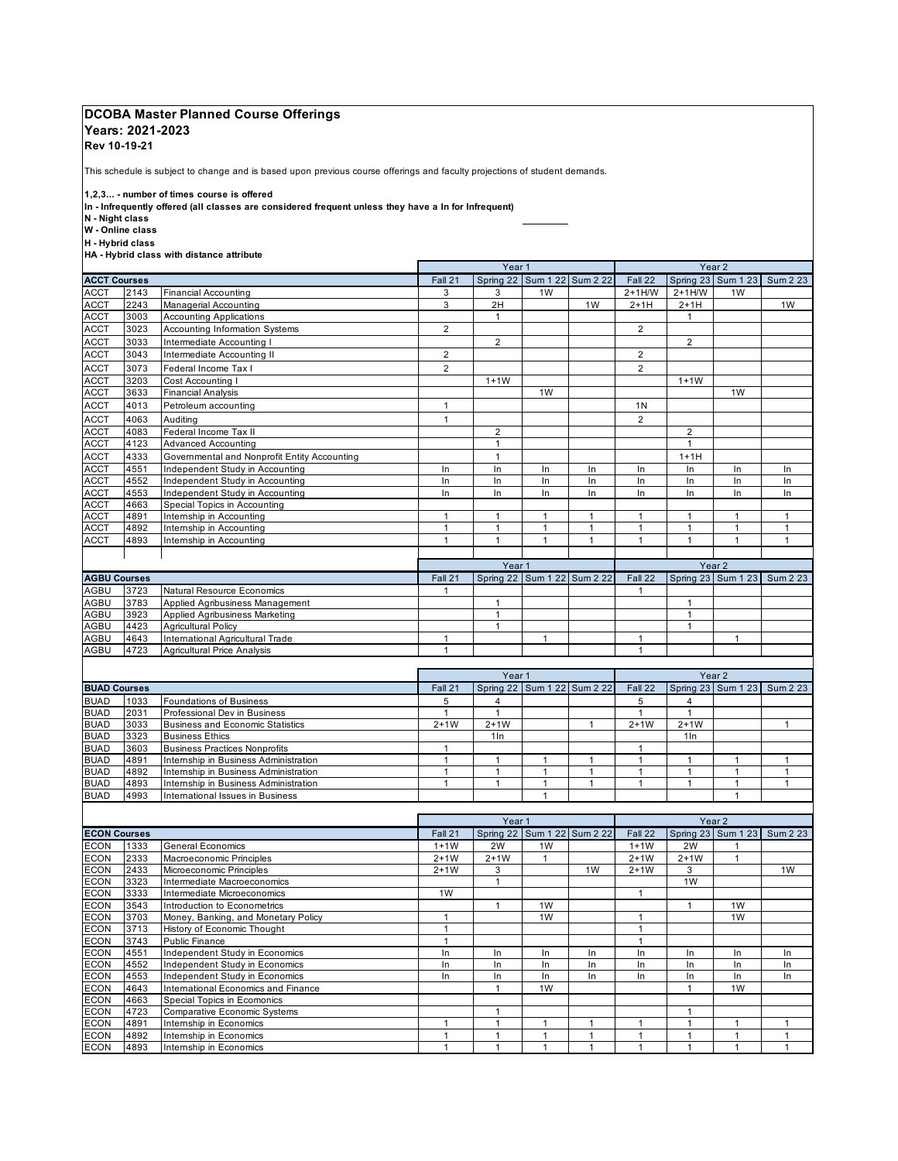## **DCOBA Master Planned Course Offerings**

## **Years: 2021-2023**

**Rev 10-19-21** 

This schedule is subject to change and is based upon previous course offerings and faculty projections of student demands.

 **1,2,3... - number of times course is offered** 

**In - Infrequently offered (all classes are considered frequent unless they have a In for Infrequent)** 

 **N - Night class** 

 **W - Online class** 

 **H - Hybrid class** 

 **ACCT Courses** Fall 21 Spring 22 Sum 1 22 Sum 2 22 Fall 22 Spring 23 Sum 1 23 Sum 2 23 ACCT 3073 Federal Income Tax I 2 2 ACCT 4083 Federal Income Tax II 2 2 ACCT 4333 Governmental and Nonprofit Entity Accounting 1 1+1H ACCT 4551 Independent Study in Accounting In In In In In In In In ACCT 4552 Independent Study in Accounting In In In In In In In In ACCT 4553 Independent Study in Accounting In In In In In In In In ACCT 4663 Special Topics in Accounting ACCT 4891 Internship in Accounting 1 1 1 1 1 1 1 1 ACCT |4892 |Internship in Accounting | 1 | 1 | 1 | 1 | 1 | 1 | 1 ACCT 4893 Internship in Accounting 1 1 1 1 1 1 1 1 **AGBU Courses** Fall 21 Spring 22 Sum 1 22 Sum 2 22 Fall 22 Spring 23 Sum 1 23 Sum 2 23 AGBU 3723 Natural Resource Economics 2008 1 2009 1 2009 1 2009 1 2009 1 2009 1 2009 1 2009 1 2009 1 2009 1 200  **HA - Hybrid class with distance attribute**  ACCT 2143 Financial Accounting 3 3 1W 2+1H/W 2+1H/W 1W Managerial Accounting **Accounting the Counting 1** 2 2H 1 2+1H 2+1H 2+1H 1W 1W 1W 2+1H ACCT 3003 Accounting Applications 1 1 ACCT 3023 Accounting Information Systems 2 2 2 2 2 2 2 ACCT 3033 Intermediate Accounting I 2 2 ACCT 3043 Intermediate Accounting II 2 2 ACCT 3203 Cost Accounting I 1+1W 1+1W ACCT 3633 Financial Analysis 1W 1W 1W 1W 1W 1W 1W 1W 1W 1W ACCT 4013 Petroleum accounting 1 1 1 1N ACCT 4063 Auditing 1 2 ACCT 4123 Advanced Accounting 1 1 AGBU 3783 Applied Agribusiness Management 1 1 AGBU 3923 Applied Agribusiness Marketing 1 1 Agricultural Policy AGBU 4643 International Agricultural Trade 1 1 1 1 Year 2 Year 2<br>Spring 23 Sum 1 23 Year 1 Year 1

|                     |      |                                      | Year <sub>1</sub> |                 |                             |         | Year <sub>2</sub> |                 |                             |  |
|---------------------|------|--------------------------------------|-------------------|-----------------|-----------------------------|---------|-------------------|-----------------|-----------------------------|--|
| <b>BUAD Courses</b> |      | Fall 21                              |                   |                 | Spring 22 Sum 1 22 Sum 2 22 | Fall 22 |                   |                 | Spring 23 Sum 1 23 Sum 2 23 |  |
| <b>BUAD</b>         | 1033 | Foundations of Business              |                   |                 |                             |         |                   | 4               |                             |  |
| <b>BUAD</b>         | 2031 | Professional Dev in Business         |                   |                 |                             |         |                   |                 |                             |  |
| <b>BUAD</b>         | 3033 | Business and Economic Statistics     | $2+1W$            | $2+1W$          |                             |         | $2+1W$            | $2+1W$          |                             |  |
| <b>BUAD</b>         | 3323 | <b>Business Ethics</b>               |                   | 1 <sub>ln</sub> |                             |         |                   | 1 <sub>ln</sub> |                             |  |
| <b>BUAD</b>         | 3603 | <b>Business Practices Nonprofits</b> |                   |                 |                             |         |                   |                 |                             |  |
| <b>BUAD</b>         | 4891 | Intemship in Business Administration |                   |                 |                             |         |                   |                 |                             |  |
| <b>BUAD</b>         | 4892 | Intemship in Business Administration |                   |                 |                             |         |                   |                 |                             |  |
| <b>BUAD</b>         | 4893 | Intemship in Business Administration |                   |                 |                             |         |                   |                 |                             |  |
| <b>BUAD</b>         | 4993 | International Issues in Business     |                   |                 |                             |         |                   |                 |                             |  |

AGBU 4723 Agricultural Price Analysis 1 1

|             |                     |                                     |         | Year <sub>1</sub> |                |                             | Year 2  |                |                |                             |  |
|-------------|---------------------|-------------------------------------|---------|-------------------|----------------|-----------------------------|---------|----------------|----------------|-----------------------------|--|
|             | <b>ECON Courses</b> |                                     | Fall 21 |                   |                | Spring 22 Sum 1 22 Sum 2 22 | Fall 22 |                |                | Spring 23 Sum 1 23 Sum 2 23 |  |
| <b>ECON</b> | 1333                | General Economics                   | $1+1W$  | 2W                | 1 <sub>W</sub> |                             | $1+1W$  | 2W             |                |                             |  |
| <b>ECON</b> | 2333                | Macroeconomic Principles            | $2+1W$  | $2+1W$            |                |                             | $2+1W$  | $2+1W$         |                |                             |  |
| <b>ECON</b> | 2433                | Microeconomic Principles            | $2+1W$  | 3                 |                | 1W                          | $2+1W$  | 3              |                | 1W                          |  |
| <b>ECON</b> | 3323                | Intermediate Macroeconomics         |         |                   |                |                             |         | 1 <sub>W</sub> |                |                             |  |
| <b>ECON</b> | 3333                | Intermediate Microeconomics         | 1W      |                   |                |                             |         |                |                |                             |  |
| <b>ECON</b> | 3543                | Introduction to Econometrics        |         |                   | 1 <sub>W</sub> |                             |         |                | 1W             |                             |  |
| <b>ECON</b> | 3703                | Money, Banking, and Monetary Policy |         |                   | 1 <sub>W</sub> |                             |         |                | 1 <sub>W</sub> |                             |  |
| <b>ECON</b> | 3713                | History of Economic Thought         |         |                   |                |                             |         |                |                |                             |  |
| <b>ECON</b> | 3743                | <b>Public Finance</b>               |         |                   |                |                             |         |                |                |                             |  |
| <b>ECON</b> | 4551                | Independent Study in Economics      | In      | In                | In             | In                          | In      | In             | In             | In                          |  |
| <b>ECON</b> | 4552                | Independent Study in Economics      | In      | In                | In             | In                          | In      | In             | In             | In                          |  |
| <b>ECON</b> | 4553                | Independent Study in Economics      | In      | In                | In             | In                          | In      | In             | In             | In                          |  |
| <b>ECON</b> | 4643                | International Economics and Finance |         |                   | 1 <sub>W</sub> |                             |         |                | 1 <sub>W</sub> |                             |  |
| <b>ECON</b> | 4663                | Special Topics in Ecomonics         |         |                   |                |                             |         |                |                |                             |  |
| <b>ECON</b> | 4723                | <b>Comparative Economic Systems</b> |         |                   |                |                             |         |                |                |                             |  |
| <b>ECON</b> | 4891                | Internship in Economics             |         |                   |                |                             |         |                |                |                             |  |
| <b>ECON</b> | 4892                | Internship in Economics             |         |                   |                |                             |         |                |                |                             |  |
| <b>ECON</b> | 4893                | Internship in Economics             |         |                   |                |                             |         |                |                |                             |  |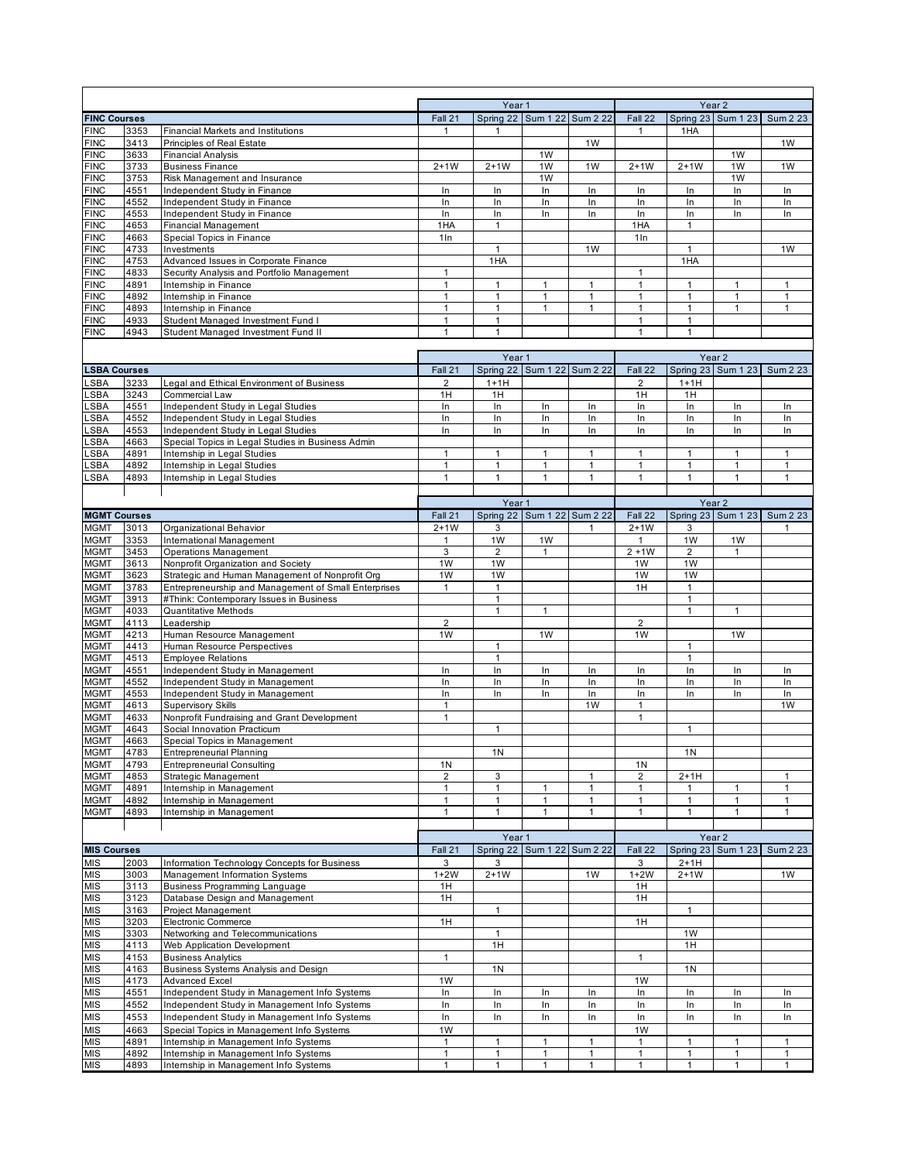|                                    |              |                                                                                         |                                           | Year 1         |                             |              |                      |                | Year <sub>2</sub>  |                 |  |
|------------------------------------|--------------|-----------------------------------------------------------------------------------------|-------------------------------------------|----------------|-----------------------------|--------------|----------------------|----------------|--------------------|-----------------|--|
| <b>FINC Courses</b><br><b>FINC</b> | 3353         | <b>Financial Markets and Institutions</b>                                               | Fall 21<br>$\mathbf 1$                    |                | Spring 22 Sum 1 22 Sum 2 22 |              | Fall 22<br>1         |                | Spring 23 Sum 1 23 | Sum 2 23        |  |
| <b>FINC</b>                        | 3413         | Principles of Real Estate                                                               |                                           | 1              |                             | 1W           |                      | 1HA            |                    | 1W              |  |
| <b>FINC</b>                        | 3633         | <b>Financial Analysis</b>                                                               |                                           |                | 1W                          |              |                      |                | 1W                 |                 |  |
| <b>FINC</b>                        | 3733         | <b>Business Finance</b>                                                                 | $2+1W$                                    | $2+1W$         | 1W                          | 1W           | $2+1W$               | $2+1W$         | 1W                 | 1W              |  |
| <b>FINC</b>                        | 3753         | Risk Management and Insurance                                                           |                                           |                | 1W                          |              |                      |                | 1W                 |                 |  |
| <b>FINC</b>                        | 4551         | Independent Study in Finance                                                            | In                                        | In             | In                          | In           | In                   | In             | In                 | In              |  |
| <b>FINC</b>                        | 4552         | Independent Study in Finance                                                            | In                                        | In             | In                          | In           | In                   | In             | In                 | In              |  |
| <b>FINC</b>                        | 4553         | Independent Study in Finance                                                            | In                                        | In             | In                          | In           | In                   | In             | In                 | In.             |  |
| <b>FINC</b>                        | 4653         | <b>Financial Management</b>                                                             | 1HA                                       | $\mathbf{1}$   |                             |              | 1HA                  | $\mathbf{1}$   |                    |                 |  |
| <b>FINC</b>                        | 4663         | Special Topics in Finance                                                               | $1 \ln$                                   | 1              |                             |              | 1 <sub>ln</sub>      | $\mathbf{1}$   |                    |                 |  |
| <b>FINC</b><br><b>FINC</b>         | 4733<br>4753 | Investments<br>Advanced Issues in Corporate Finance                                     |                                           | 1HA            |                             | 1W           |                      | 1HA            |                    | 1W              |  |
| <b>FINC</b>                        | 4833         | Security Analysis and Portfolio Management                                              | $\mathbf{1}$                              |                |                             |              | 1                    |                |                    |                 |  |
| <b>FINC</b>                        | 4891         | Intemship in Finance                                                                    | $\mathbf{1}$                              | 1              | 1                           | 1            | $\mathbf{1}$         | $\mathbf{1}$   | 1                  | $\mathbf{1}$    |  |
| <b>FINC</b>                        | 4892         | Intemship in Finance                                                                    | $\mathbf{1}$                              | $\mathbf{1}$   | $\mathbf{1}$                | $\mathbf{1}$ | $\mathbf{1}$         | $\mathbf{1}$   | $\mathbf{1}$       | $\mathbf{1}$    |  |
| <b>FINC</b>                        | 4893         | Intemship in Finance                                                                    | $\mathbf{1}$                              | 1              | 1                           | 1            | 1                    | $\mathbf{1}$   | $\mathbf{1}$       | $\mathbf{1}$    |  |
| <b>FINC</b>                        | 4933         | Student Managed Investment Fund I                                                       | $\mathbf{1}$                              | 1              |                             |              | $\mathbf{1}$         | $\mathbf{1}$   |                    |                 |  |
| <b>FINC</b>                        | 4943         | Student Managed Investment Fund II                                                      | $\mathbf{1}$                              | 1              |                             |              | 1                    | $\mathbf{1}$   |                    |                 |  |
|                                    |              |                                                                                         |                                           |                |                             |              |                      |                |                    |                 |  |
|                                    |              |                                                                                         |                                           | Year 1         |                             |              | Year <sub>2</sub>    |                |                    |                 |  |
| <b>LSBA Courses</b>                |              |                                                                                         | Fall 21                                   |                | Spring 22 Sum 1 22 Sum 2 22 |              | Fall 22              |                | Spring 23 Sum 1 23 | Sum 2 23        |  |
| LSBA                               | 3233         | Legal and Ethical Environment of Business                                               | 2                                         | $1+1H$         |                             |              | 2                    | $1+1H$         |                    |                 |  |
| _SBA                               | 3243         | Commercial Law                                                                          | 1H                                        | 1H             |                             |              | 1H                   | 1H             |                    |                 |  |
| LSBA                               | 4551         | Independent Study in Legal Studies                                                      | ln                                        | In             | In                          | In           | In                   | In             | In                 | In              |  |
| _SBA                               | 4552         | Independent Study in Legal Studies                                                      | In                                        | In             | In                          | In           | In                   | In             | In                 | In              |  |
| .SBA<br>.SBA                       | 4553<br>4663 | Independent Study in Legal Studies<br>Special Topics in Legal Studies in Business Admin | In                                        | In             | In                          | In           | In                   | In             | In                 | In              |  |
| .SBA                               | 4891         | Intemship in Legal Studies                                                              | $\mathbf{1}$                              | $\mathbf{1}$   | $\mathbf{1}$                | $\mathbf{1}$ | $\mathbf{1}$         | $\mathbf{1}$   | $\mathbf{1}$       | $\mathbf{1}$    |  |
| LSBA                               | 4892         | Intemship in Legal Studies                                                              | $\mathbf{1}$                              | 1              | 1                           | 1            | 1                    | $\mathbf{1}$   | $\mathbf{1}$       | 1               |  |
| LSBA                               | 4893         | Intemship in Legal Studies                                                              | $\mathbf{1}$                              | $\mathbf{1}$   | $\mathbf{1}$                | $\mathbf{1}$ | $\mathbf{1}$         | $\mathbf{1}$   | $\mathbf{1}$       | $\mathbf{1}$    |  |
|                                    |              |                                                                                         |                                           |                |                             |              |                      |                |                    |                 |  |
|                                    |              |                                                                                         |                                           | Year 1         |                             |              |                      |                | Year <sub>2</sub>  |                 |  |
| <b>MGMT Courses</b>                |              |                                                                                         | Fall 21                                   |                | Spring 22 Sum 1 22 Sum 2 22 |              | Fall 22              |                | Spring 23 Sum 1 23 | <b>Sum 2 23</b> |  |
| <b>MGMT</b>                        | 3013         | Organizational Behavior                                                                 | $2+1W$                                    | 3              |                             | 1            | $2+1W$               | 3              |                    | 1               |  |
| <b>MGMT</b>                        | 3353         | International Management                                                                | $\mathbf{1}$                              | 1W             | 1W                          |              | $\mathbf{1}$         | 1W             | 1W                 |                 |  |
| <b>MGMT</b>                        | 3453         | <b>Operations Management</b>                                                            | 3                                         | $\overline{2}$ | $\mathbf{1}$                |              | $2 + 1W$             | $\overline{2}$ | $\mathbf{1}$       |                 |  |
| <b>MGMT</b>                        | 3613         | Nonprofit Organization and Society                                                      | 1W                                        | 1W             |                             |              | 1W                   | 1W             |                    |                 |  |
| <b>MGMT</b>                        | 3623         | Strategic and Human Management of Nonprofit Org                                         | 1W                                        | 1W             |                             |              | 1W                   | 1W             |                    |                 |  |
| <b>MGMT</b>                        | 3783         | Entrepreneurship and Management of Small Enterprises                                    | $\mathbf{1}$                              | $\mathbf{1}$   |                             |              | 1H                   | $\mathbf{1}$   |                    |                 |  |
| <b>MGMT</b>                        | 3913         | #Think: Contemporary Issues in Business                                                 |                                           | $\mathbf{1}$   |                             |              |                      | $\mathbf{1}$   |                    |                 |  |
| <b>MGMT</b>                        | 4033         | <b>Quantitative Methods</b>                                                             |                                           | $\mathbf{1}$   | $\mathbf{1}$                |              |                      | $\mathbf{1}$   | $\mathbf{1}$       |                 |  |
| <b>MGMT</b>                        | 4113         | Leadership                                                                              | $\overline{2}$                            |                | 1 <sub>W</sub>              |              | $\overline{2}$       |                | 1W                 |                 |  |
| <b>MGMT</b><br><b>MGMT</b>         | 4213<br>4413 | Human Resource Management<br>Human Resource Perspectives                                | 1W                                        | 1              |                             |              | 1W                   | 1              |                    |                 |  |
| <b>MGMT</b>                        | 4513         | <b>Employee Relations</b>                                                               |                                           | $\mathbf{1}$   |                             |              |                      | $\mathbf{1}$   |                    |                 |  |
| <b>MGMT</b>                        | 4551         | Independent Study in Management                                                         | In                                        | In             | In                          | In           | In                   | In             | In                 | In              |  |
| <b>MGMT</b>                        | 4552         | Independent Study in Management                                                         | In                                        | In             | In                          | In           | In                   | In             | In                 | In              |  |
| <b>MGMT</b>                        | 4553         | Independent Study in Management                                                         | In                                        | In             | In                          | In           | In                   | In             | In                 | In              |  |
| <b>MGMT</b>                        | 4613         | <b>Supervisory Skills</b>                                                               | $\mathbf{1}$                              |                |                             | 1W           | 1                    |                |                    | 1W              |  |
| <b>MGMT</b>                        | 4633         | Nonprofit Fundraising and Grant Development                                             | $\mathbf{1}$                              |                |                             |              | $\mathbf{1}$         |                |                    |                 |  |
| <b>MGMT</b>                        | 4643         | Social Innovation Practicum                                                             |                                           | $\mathbf{1}$   |                             |              |                      | $\mathbf{1}$   |                    |                 |  |
| <b>MGMT</b>                        | 4663         | Special Topics in Management                                                            |                                           |                |                             |              |                      |                |                    |                 |  |
| <b>MGMT</b>                        | 4783         | <b>Entrepreneurial Planning</b>                                                         |                                           | 1 <sub>N</sub> |                             |              |                      | 1 <sub>N</sub> |                    |                 |  |
| <b>MGMT</b><br><b>MGMT</b>         | 4793<br>4853 | <b>Entrepreneurial Consulting</b><br>Strategic Management                               | 1 <sub>N</sub><br>$\overline{\mathbf{c}}$ | 3              |                             | 1            | 1N<br>$\overline{2}$ | 2+1H           |                    | 1               |  |
| <b>MGMT</b>                        | 4891         | Internship in Management                                                                | $\mathbf{1}$                              | $\mathbf{1}$   | $\mathbf{1}$                | $\mathbf{1}$ | $\mathbf{1}$         | $\mathbf{1}$   | $\mathbf{1}$       | $\mathbf{1}$    |  |
| <b>MGMT</b>                        | 4892         | Internship in Management                                                                | $\mathbf{1}$                              | $\mathbf{1}$   | $\mathbf{1}$                | 1            | $\mathbf{1}$         | $\mathbf{1}$   | $\mathbf{1}$       | $\mathbf{1}$    |  |
| <b>MGMT</b>                        | 4893         | Intemship in Management                                                                 | $\mathbf{1}$                              | $\mathbf{1}$   | $\mathbf{1}$                | $\mathbf{1}$ | $\mathbf{1}$         | $\mathbf{1}$   | $\mathbf{1}$       | $\mathbf{1}$    |  |
|                                    |              |                                                                                         |                                           |                |                             |              |                      |                |                    |                 |  |
|                                    |              |                                                                                         |                                           | Year 1         |                             |              | Year 2               |                |                    |                 |  |
| <b>MIS Courses</b>                 |              |                                                                                         | Fall 21                                   |                | Spring 22 Sum 1 22 Sum 2 22 |              | Fall 22              |                | Spring 23 Sum 1 23 | Sum 2 23        |  |
| <b>MIS</b>                         | 2003         | Information Technology Concepts for Business                                            | 3                                         | 3              |                             |              | 3                    | $2+1H$         |                    |                 |  |
| MIS                                | 3003         | Management Information Systems                                                          | $1+2W$                                    | $2+1W$         |                             | 1W           | $1+2W$               | $2+1W$         |                    | 1W              |  |
| MIS                                | 3113         | <b>Business Programming Language</b>                                                    | 1H                                        |                |                             |              | 1H                   |                |                    |                 |  |
| <b>MIS</b>                         | 3123         | Database Design and Management                                                          | 1H                                        |                |                             |              | 1H                   |                |                    |                 |  |
| <b>MIS</b>                         | 3163         | Project Management                                                                      |                                           | $\mathbf{1}$   |                             |              |                      | $\mathbf{1}$   |                    |                 |  |
| MIS                                | 3203         | Electronic Commerce                                                                     | 1H                                        |                |                             |              | 1H                   |                |                    |                 |  |
| <b>MIS</b>                         | 3303         | Networking and Telecommunications                                                       |                                           | $\mathbf{1}$   |                             |              |                      | 1W             |                    |                 |  |
| MIS                                | 4113         | Web Application Development                                                             |                                           | 1H             |                             |              |                      | 1H             |                    |                 |  |
| MIS                                | 4153         | <b>Business Analytics</b>                                                               | $\mathbf{1}$                              |                |                             |              | $\mathbf{1}$         |                |                    |                 |  |
| <b>MIS</b>                         | 4163         | Business Systems Analysis and Design                                                    |                                           | 1 <sub>N</sub> |                             |              |                      | 1 <sub>N</sub> |                    |                 |  |
| MIS<br>MIS                         | 4173<br>4551 | <b>Advanced Excel</b><br>Independent Study in Management Info Systems                   | 1W<br>In                                  | In             | In                          | In           | 1W<br>In             | In             | In                 | In              |  |
| <b>MIS</b>                         | 4552         | Independent Study in Management Info Systems                                            | In                                        | In             | In                          | In           | In                   | In             | In                 | In              |  |
| <b>MIS</b>                         | 4553         | Independent Study in Management Info Systems                                            | In                                        | In             | In                          | In           | In                   | In             | In                 | In              |  |
| MIS                                | 4663         | Special Topics in Management Info Systems                                               | 1W                                        |                |                             |              | 1W                   |                |                    |                 |  |
| <b>MIS</b>                         | 4891         | Internship in Management Info Systems                                                   | $\mathbf{1}$                              | $\mathbf{1}$   | $\mathbf{1}$                | 1            | $\mathbf{1}$         | $\mathbf{1}$   | $\mathbf{1}$       | $\mathbf{1}$    |  |
| MIS                                | 4892         | Intemship in Management Info Systems                                                    | $\mathbf{1}$                              | 1              | 1                           | 1            | 1                    | $\mathbf{1}$   | $\mathbf{1}$       | 1               |  |
| <b>MIS</b>                         | 4893         | Internship in Management Info Systems                                                   | $\mathbf{1}$                              | $\mathbf{1}$   | $\mathbf{1}$                | $\mathbf{1}$ | $\mathbf{1}$         | $\mathbf{1}$   | $\mathbf{1}$       | $\mathbf{1}$    |  |